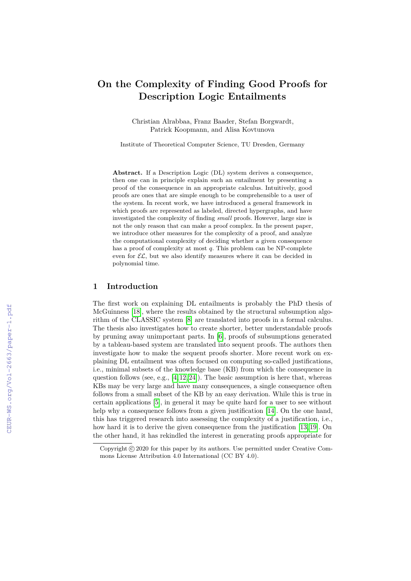# **On the Complexity of Finding Good Proofs for Description Logic Entailments**

Christian Alrabbaa, Franz Baader, Stefan Borgwardt, Patrick Koopmann, and Alisa Kovtunova

Institute of Theoretical Computer Science, TU Dresden, Germany

Abstract. If a Description Logic (DL) system derives a consequence, then one can in principle explain such an entailment by presenting a proof of the consequence in an appropriate calculus. Intuitively, good proofs are ones that are simple enough to be comprehensible to a user of the system. In recent work, we have introduced a general framework in which proofs are represented as labeled, directed hypergraphs, and have investigated the complexity of finding *small* proofs. However, large size is not the only reason that can make a proof complex. In the present paper, we introduce other measures for the complexity of a proof, and analyze the computational complexity of deciding whether a given consequence has a proof of complexity at most *q*. This problem can be NP-complete even for  $\mathcal{EL}$ , but we also identify measures where it can be decided in polynomial time.

#### **1 Introduction**

The first work on explaining DL entailments is probably the PhD thesis of McGuinness [\[18\]](#page--1-0), where the results obtained by the structural subsumption algorithm of the CLASSIC system [\[8\]](#page--1-1) are translated into proofs in a formal calculus. The thesis also investigates how to create shorter, better understandable proofs by pruning away unimportant parts. In [\[6\]](#page--1-2), proofs of subsumptions generated by a tableau-based system are translated into sequent proofs. The authors then investigate how to make the sequent proofs shorter. More recent work on explaining DL entailment was often focused on computing so-called justifications, i.e., minimal subsets of the knowledge base (KB) from which the consequence in question follows (see, e.g., [\[4,](#page--1-0) [12,](#page--1-3) [24\]](#page--1-4)). The basic assumption is here that, whereas KBs may be very large and have many consequences, a single consequence often follows from a small subset of the KB by an easy derivation. While this is true in certain applications [\[5\]](#page--1-5), in general it may be quite hard for a user to see without help why a consequence follows from a given justification [\[14\]](#page--1-6). On the one hand, this has triggered research into assessing the complexity of a justification, i.e., how hard it is to derive the given consequence from the justification [\[13,](#page--1-7) [19\]](#page--1-8). On the other hand, it has rekindled the interest in generating proofs appropriate for

Copyright  $\odot$  2020 for this paper by its authors. Use permitted under Creative Commons License Attribution 4.0 International (CC BY 4.0).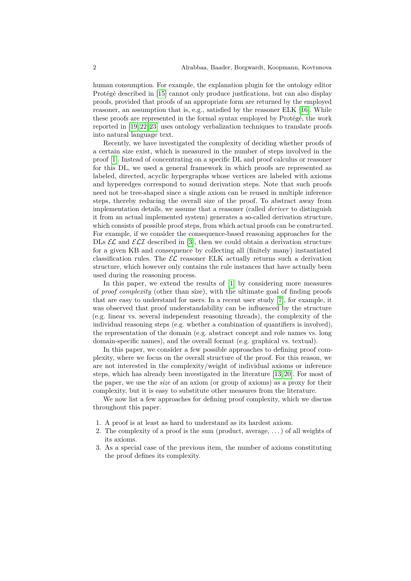human consumption. For example, the explanation plugin for the ontology editor Protégé described in [\[15\]](#page-12-0) cannot only produce justfications, but can also display proofs, provided that proofs of an appropriate form are returned by the employed reasoner, an assumption that is, e.g., satisfied by the reasoner ELK [\[16\]](#page-12-1). While these proofs are represented in the formal syntax employed by Protégé, the work reported in [\[19,](#page-13-0) [22,](#page-13-1) [23\]](#page-13-2) uses ontology verbalization techniques to translate proofs into natural language text.

Recently, we have investigated the complexity of deciding whether proofs of a certain size exist, which is measured in the number of steps involved in the proof [\[1\]](#page-11-0). Instead of concentrating on a specific DL and proof calculus or reasoner for this DL, we used a general framework in which proofs are represented as labeled, directed, acyclic hypergraphs whose vertices are labeled with axioms and hyperedges correspond to sound derivation steps. Note that such proofs need not be tree-shaped since a single axiom can be reused in multiple inference steps, thereby reducing the overall size of the proof. To abstract away from implementation details, we assume that a reasoner (called *deriver* to distinguish it from an actual implemented system) generates a so-called derivation structure, which consists of possible proof steps, from which actual proofs can be constructed. For example, if we consider the consequence-based reasoning approaches for the DLs  $\mathcal{EL}$  and  $\mathcal{ELI}$  described in [\[3\]](#page-11-1), then we could obtain a derivation structure for a given KB and consequence by collecting all (finitely many) instantiated classification rules. The  $\mathcal{EL}$  reasoner ELK actually returns such a derivation structure, which however only contains the rule instances that have actually been used during the reasoning process.

In this paper, we extend the results of [\[1\]](#page-11-0) by considering more measures of *proof complexity* (other than size), with the ultimate goal of finding proofs that are easy to understand for users. In a recent user study [\[7\]](#page-12-2), for example, it was observed that proof understandability can be influenced by the structure (e.g. linear vs. several independent reasoning threads), the complexity of the individual reasoning steps (e.g. whether a combination of quantifiers is involved), the representation of the domain (e.g. abstract concept and role names vs. long domain-specific names), and the overall format (e.g. graphical vs. textual).

In this paper, we consider a few possible approaches to defining proof complexity, where we focus on the overall structure of the proof. For this reason, we are not interested in the complexity/weight of individual axioms or inference steps, which has already been investigated in the literature [\[13,](#page-12-3) [20\]](#page-13-3). For most of the paper, we use the *size* of an axiom (or group of axioms) as a proxy for their complexity, but it is easy to substitute other measures from the literature.

We now list a few approaches for defining proof complexity, which we discuss throughout this paper.

- 1. A proof is at least as hard to understand as its hardest axiom.
- 2. The complexity of a proof is the sum (product, average, . . . ) of all weights of its axioms.
- 3. As a special case of the previous item, the number of axioms constituting the proof defines its complexity.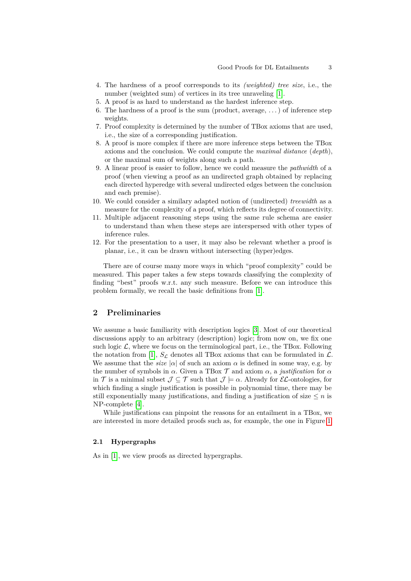- <span id="page-2-0"></span>4. The hardness of a proof corresponds to its *(weighted) tree size*, i.e., the number (weighted sum) of vertices in its tree unraveling [\[1\]](#page-11-0).
- 5. A proof is as hard to understand as the hardest inference step.
- 6. The hardness of a proof is the sum (product, average,  $\dots$ ) of inference step weights.
- 7. Proof complexity is determined by the number of TBox axioms that are used, i.e., the size of a corresponding justification.
- 8. A proof is more complex if there are more inference steps between the TBox axioms and the conclusion. We could compute the *maximal distance* (*depth*), or the maximal sum of weights along such a path.
- <span id="page-2-1"></span>9. A linear proof is easier to follow, hence we could measure the *pathwidth* of a proof (when viewing a proof as an undirected graph obtained by replacing each directed hyperedge with several undirected edges between the conclusion and each premise).
- <span id="page-2-3"></span>10. We could consider a similary adapted notion of (undirected) *treewidth* as a measure for the complexity of a proof, which reflects its degree of connectivity.
- <span id="page-2-4"></span>11. Multiple adjacent reasoning steps using the same rule schema are easier to understand than when these steps are interspersed with other types of inference rules.
- <span id="page-2-2"></span>12. For the presentation to a user, it may also be relevant whether a proof is planar, i.e., it can be drawn without intersecting (hyper)edges.

There are of course many more ways in which "proof complexity" could be measured. This paper takes a few steps towards classifying the complexity of finding "best" proofs w.r.t. any such measure. Before we can introduce this problem formally, we recall the basic definitions from [\[1\]](#page-11-0).

#### **2 Preliminaries**

We assume a basic familiarity with description logics [\[3\]](#page-11-1). Most of our theoretical discussions apply to an arbitrary (description) logic; from now on, we fix one such logic  $\mathcal{L}$ , where we focus on the terminological part, i.e., the TBox. Following the notation from [\[1\]](#page-11-0),  $S_{\mathcal{L}}$  denotes all TBox axioms that can be formulated in  $\mathcal{L}$ . We assume that the *size*  $|\alpha|$  of such an axiom  $\alpha$  is defined in some way, e.g. by the number of symbols in  $\alpha$ . Given a TBox  $\mathcal T$  and axiom  $\alpha$ , a *justification* for  $\alpha$ in  $\mathcal T$  is a minimal subset  $\mathcal J \subseteq \mathcal T$  such that  $\mathcal J \models \alpha$ . Already for  $\mathcal EL$ -ontologies, for which finding a single justification is possible in polynomial time, there may be still exponentially many justifications, and finding a justification of size  $\leq n$  is NP-complete [\[4\]](#page-12-4).

While justifications can pinpoint the reasons for an entailment in a TBox, we are interested in more detailed proofs such as, for example, the one in Figure [1.](#page-3-0)

## **2.1 Hypergraphs**

As in [\[1\]](#page-11-0), we view proofs as directed hypergraphs.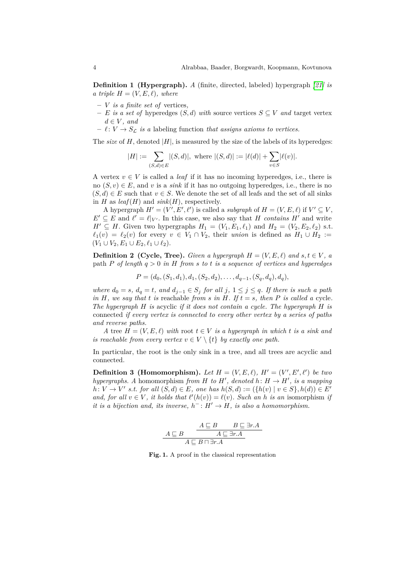**Definition 1 (Hypergraph).** *A* (finite, directed, labeled) hypergraph *[\[21\]](#page-13-4) is a triple*  $H = (V, E, \ell)$ *, where* 

- **–** *V is a finite set of* vertices*,*
- $− E$  *is a set of* hyperedges  $(S, d)$  *with* source vertices  $S ⊆ V$  *and* target vertex  $d \in V$ *, and*
- $\ell : V \to S_{\ell}$  *is a* labeling function *that assigns axioms to vertices.*

The *size* of  $H$ , denoted  $|H|$ , is measured by the size of the labels of its hyperedges:

$$
|H| := \sum_{(S,d)\in E} |(S,d)|
$$
, where  $|(S,d)| := |\ell(d)| + \sum_{v\in S} |\ell(v)|$ .

A vertex  $v \in V$  is called a *leaf* if it has no incoming hyperedges, i.e., there is no  $(S, v) \in E$ , and *v* is a *sink* if it has no outgoing hyperedges, i.e., there is no  $(S, d) \in E$  such that  $v \in S$ . We denote the set of all leafs and the set of all sinks in *H* as  $leaf(H)$  and  $sink(H)$ , respectively.

A hypergraph  $H' = (V', E', \ell')$  is called a *subgraph* of  $H = (V, E, \ell)$  if  $V' \subseteq V$ ,  $E' \subseteq E$  and  $\ell' = \ell|_{V'}$ . In this case, we also say that *H contains H'* and write *H*<sup> $′$ </sup> ⊆ *H*. Given two hypergraphs *H*<sub>1</sub> = (*V*<sub>1</sub>*, E*<sub>1</sub>*, ℓ*<sub>1</sub>) and *H*<sub>2</sub> = (*V*<sub>2</sub>*, E*<sub>2</sub>*, ℓ*<sub>2</sub>) s.t.  $\ell_1(v) = \ell_2(v)$  for every  $v \in V_1 \cap V_2$ , their *union* is defined as  $H_1 \cup H_2 :=$  $(V_1 \cup V_2, E_1 \cup E_2, \ell_1 \cup \ell_2).$ 

**Definition 2** (Cycle, Tree). *Given a hypergraph*  $H = (V, E, \ell)$  and  $s, t \in V$ , a path *P of length q >* 0 *in H from s to t is a sequence of vertices and hyperedges*

 $P = (d_0, (S_1, d_1), d_1, (S_2, d_2), \ldots, d_{q-1}, (S_q, d_q), d_q)$ 

*where*  $d_0 = s$ *,*  $d_q = t$ *, and*  $d_{j-1} \in S_j$  *for all*  $j$ *,*  $1 \leq j \leq q$ *. If there is such a path in*  $H$ *, we say that*  $t$  *is* reachable *from*  $s$  *in*  $H$ *. If*  $t = s$ *, then*  $P$  *is called a* cycle*. The hypergraph H is* acyclic *if it does not contain a cycle. The hypergraph H is* connected *if every vertex is connected to every other vertex by a series of paths and reverse paths.*

*A* tree  $H = (V, E, \ell)$  *with* root  $t \in V$  *is a hypergraph in which t is a sink and is reachable from every vertex*  $v \in V \setminus \{t\}$  *by exactly one path.* 

In particular, the root is the only sink in a tree, and all trees are acyclic and connected.

**Definition 3 (Homomorphism).** Let  $H = (V, E, \ell)$ ,  $H' = (V', E', \ell')$  be two *hypergraphs.* A homomorphism *from H to H'*, *denoted h*:  $H \rightarrow H'$ , *is a mapping h*: *V* → *V*<sup> $'$ </sup> *s.t. for all*  $(S, d) \in E$ *, one has*  $h(S, d) := (\{h(v) | v \in S\}, h(d)) \in E'$ *and, for all*  $v \in V$ *, it holds that*  $\ell'(h(v)) = \ell(v)$ *. Such an h is an* isomorphism *if it is a bijection and, its inverse,*  $h^-: H' \to H$ *, is also a homomorphism.* 

$$
\begin{array}{c}\nA \sqsubseteq B \quad B \sqsubseteq \exists r.A \\
\hline\nA \sqsubseteq B \sqcap \exists r.A \\
\hline\nA \sqsubseteq B \sqcap \exists r.A\n\end{array}
$$

<span id="page-3-0"></span>**Fig. 1.** A proof in the classical representation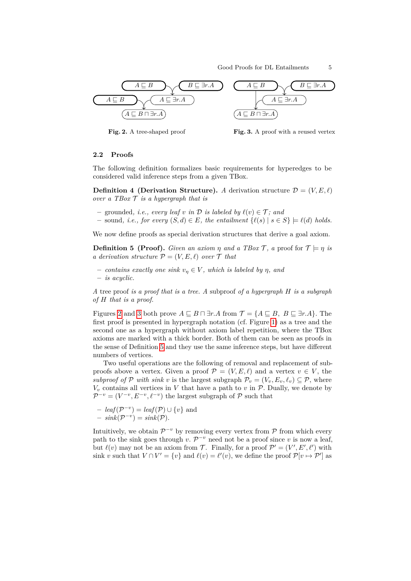

<span id="page-4-0"></span>**Fig. 2.** A tree-shaped proof

<span id="page-4-1"></span>**Fig. 3.** A proof with a reused vertex

#### **2.2 Proofs**

The following definition formalizes basic requirements for hyperedges to be considered valid inference steps from a given TBox.

<span id="page-4-3"></span>**Definition 4 (Derivation Structure).** *A* derivation structure  $\mathcal{D} = (V, E, \ell)$ *over a TBox* T *is a hypergraph that is*

- $-$  grounded, *i.e.*, every leaf  $v$  *in*  $D$  *is labeled by*  $\ell(v) \in \mathcal{T}$ ; and
- **–** sound*, i.e., for every* (*S, d*) ∈ *E, the entailment* {*`*(*s*) | *s* ∈ *S*} |= *`*(*d*) *holds.*

<span id="page-4-2"></span>We now define proofs as special derivation structures that derive a goal axiom.

**Definition 5 (Proof).** *Given an axiom*  $\eta$  *and a TBox*  $\mathcal{T}$ , *a* proof for  $\mathcal{T} \models \eta$  *is a derivation structure*  $P = (V, E, \ell)$  *over*  $\mathcal{T}$  *that* 

 $-$  *contains exactly one sink*  $v_n \in V$ *, which is labeled by*  $\eta$ *, and* **–** *is acyclic.*

*A* tree proof *is a proof that is a tree. A* subproof *of a hypergraph H is a subgraph of H that is a proof.*

Figures [2](#page-4-0) and [3](#page-4-1) both prove  $A \sqsubseteq B \sqcap \exists r.A$  from  $\mathcal{T} = \{A \sqsubseteq B, B \sqsubseteq \exists r.A\}$ . The first proof is presented in hypergraph notation (cf. Figure [1\)](#page-3-0) as a tree and the second one as a hypergraph without axiom label repetition, where the TBox axioms are marked with a thick border. Both of them can be seen as proofs in the sense of Definition [5](#page-4-2) and they use the same inference steps, but have different numbers of vertices.

Two useful operations are the following of removal and replacement of subproofs above a vertex. Given a proof  $\mathcal{P} = (V, E, \ell)$  and a vertex  $v \in V$ , the *subproof of*  $P$  *with sink*  $v$  is the largest subgraph  $P_v = (V_v, E_v, \ell_v) \subseteq P$ , where  $V_v$  contains all vertices in  $V$  that have a path to  $v$  in  $P$ . Dually, we denote by  $\mathcal{P}^{-v} = (V^{-v}, E^{-v}, \ell^{-v})$  the largest subgraph of P such that

- 
$$
leaf(\mathcal{P}^{-v}) = leaf(\mathcal{P}) \cup \{v\}
$$
 and  
\n-  $sink(\mathcal{P}^{-v}) = sink(\mathcal{P}).$ 

Intuitively, we obtain  $\mathcal{P}^{-v}$  by removing every vertex from  $\mathcal P$  from which every path to the sink goes through  $v \cdot \mathcal{P}^{-v}$  need not be a proof since  $v$  is now a leaf, but  $\ell(v)$  may not be an axiom from T. Finally, for a proof  $\mathcal{P}' = (V', E', \ell')$  with sink *v* such that  $V \cap V' = \{v\}$  and  $\ell(v) = \ell'(v)$ , we define the proof  $\mathcal{P}[v \mapsto \mathcal{P}']$  as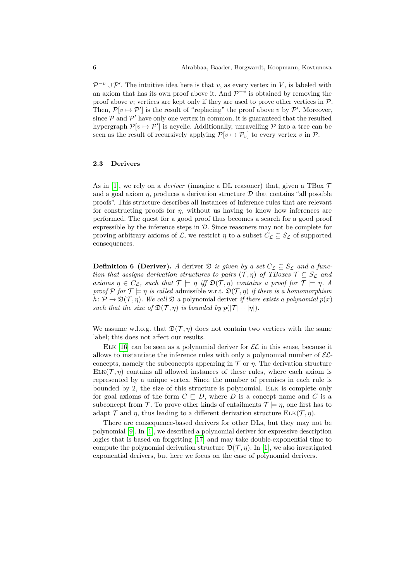$\mathcal{P}^{-v} \cup \mathcal{P}'$ . The intuitive idea here is that *v*, as every vertex in *V*, is labeled with an axiom that has its own proof above it. And  $\mathcal{P}^{-v}$  is obtained by removing the proof above  $v$ ; vertices are kept only if they are used to prove other vertices in  $P$ . Then,  $\mathcal{P}[v \mapsto \mathcal{P}']$  is the result of "replacing" the proof above v by  $\mathcal{P}'$ . Moreover, since  $P$  and  $P'$  have only one vertex in common, it is guaranteed that the resulted hypergraph  $\mathcal{P}[v \mapsto \mathcal{P}']$  is acyclic. Additionally, unravelling  $\mathcal P$  into a tree can be seen as the result of recursively applying  $\mathcal{P}[v \mapsto \mathcal{P}_v]$  to every vertex *v* in  $\mathcal{P}$ .

#### **2.3 Derivers**

As in [\[1\]](#page-11-0), we rely on a *deriver* (imagine a DL reasoner) that, given a TBox  $\mathcal T$ and a goal axiom  $\eta$ , produces a derivation structure  $\mathcal D$  that contains "all possible proofs". This structure describes all instances of inference rules that are relevant for constructing proofs for *η*, without us having to know how inferences are performed. The quest for a good proof thus becomes a search for a good proof expressible by the inference steps in  $D$ . Since reasoners may not be complete for proving arbitrary axioms of L, we restrict  $\eta$  to a subset  $C_{\mathcal{L}} \subseteq S_{\mathcal{L}}$  of supported consequences.

<span id="page-5-0"></span>**Definition 6** (Deriver). A deriver  $\mathfrak{D}$  *is given by a set*  $C_{\mathcal{L}} \subseteq S_{\mathcal{L}}$  *and a function that assigns derivation structures to pairs*  $(\mathcal{T}, \eta)$  *of TBoxes*  $\mathcal{T} \subseteq S_{\mathcal{L}}$  *and axioms*  $\eta \in C_{\mathcal{L}}$ , such that  $\mathcal{T} \models \eta$  *iff*  $\mathfrak{D}(\mathcal{T}, \eta)$  *contains a proof for*  $\mathcal{T} \models \eta$ *. A proof*  $P$  *for*  $T \models \eta$  *is called* admissible w.r.t.  $\mathfrak{D}(\mathcal{T}, \eta)$  *if there is a homomorphism*  $h: \mathcal{P} \to \mathfrak{D}(\mathcal{T}, \eta)$ *. We call*  $\mathfrak{D}$  *a* polynomial deriver *if there exists a polynomial*  $p(x)$ *such that the size of*  $\mathfrak{D}(\mathcal{T}, \eta)$  *is bounded by*  $p(|\mathcal{T}| + |\eta|)$ *.* 

We assume w.l.o.g. that  $\mathfrak{D}(\mathcal{T}, \eta)$  does not contain two vertices with the same label; this does not affect our results.

ELK [\[16\]](#page-12-1) can be seen as a polynomial deriver for  $\mathcal{EL}$  in this sense, because it allows to instantiate the inference rules with only a polynomial number of  $\mathcal{EL}$ concepts, namely the subconcepts appearing in  $\mathcal T$  or  $\eta$ . The derivation structure  $ELK(\mathcal{T}, \eta)$  contains all allowed instances of these rules, where each axiom is represented by a unique vertex. Since the number of premises in each rule is bounded by 2, the size of this structure is polynomial. Elk is complete only for goal axioms of the form  $C \subseteq D$ , where *D* is a concept name and *C* is a subconcept from T. To prove other kinds of entailments  $T \models \eta$ , one first has to adapt  $\mathcal T$  and  $\eta$ , thus leading to a different derivation structure  $\text{ELK}(\mathcal T, \eta)$ .

There are consequence-based derivers for other DLs, but they may not be polynomial [\[9\]](#page-12-5). In [\[1\]](#page-11-0), we described a polynomial deriver for expressive description logics that is based on forgetting [\[17\]](#page-12-6) and may take double-exponential time to compute the polynomial derivation structure  $\mathfrak{D}(\mathcal{T}, \eta)$ . In [\[1\]](#page-11-0), we also investigated exponential derivers, but here we focus on the case of polynomial derivers.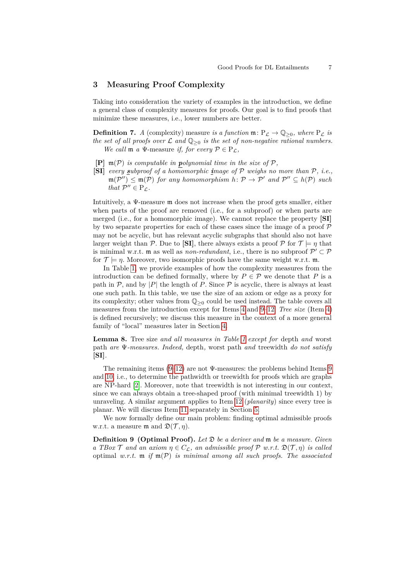#### <span id="page-6-1"></span>**3 Measuring Proof Complexity**

Taking into consideration the variety of examples in the introduction, we define a general class of complexity measures for proofs. Our goal is to find proofs that minimize these measures, i.e., lower numbers are better.

<span id="page-6-0"></span>**Definition 7.** *A* (complexity) measure *is a function*  $\mathfrak{m}: P_{\mathcal{L}} \to \mathbb{Q}_{\geq 0}$ , where  $P_{\mathcal{L}}$  *is the set of all proofs over*  $\mathcal L$  *and*  $\mathbb Q_{\geq 0}$  *is the set of non-negative rational numbers. We call*  $\mathfrak{m}$  *a*  $\Psi$ -measure *if, for every*  $P \in P_L$ ,

- $[P]$   $\mathfrak{m}(\mathcal{P})$  *is computable in polynomial time in the size of*  $\mathcal{P}$ *,*
- **[SI]** *every subproof of a homomorphic image of* P *weighs no more than* P*, i.e.,*  $\mathfrak{m}(\mathcal{P}'') \leq \mathfrak{m}(\mathcal{P})$  *for any homomorphism*  $h: \mathcal{P} \to \mathcal{P}'$  *and*  $\mathcal{P}'' \subseteq h(\mathcal{P})$  *such that*  $\mathcal{P}'' \in P_{\mathcal{L}}$ *.*

Intuitively, a Ψ-measure m does not increase when the proof gets smaller, either when parts of the proof are removed (i.e., for a subproof) or when parts are merged (i.e., for a homomorphic image). We cannot replace the property **[SI]** by two separate properties for each of these cases since the image of a proof  $P$ may not be acyclic, but has relevant acyclic subgraphs that should also not have larger weight than P. Due to **[SI]**, there always exists a proof  $\mathcal{P}$  for  $\mathcal{T} \models \eta$  that is minimal w.r.t.  $m$  as well as *non-redundant*, i.e., there is no subproof  $\mathcal{P}' \subset \mathcal{P}$ for  $\mathcal{T} \models \eta$ . Moreover, two isomorphic proofs have the same weight w.r.t. m.

In Table [1,](#page-7-0) we provide examples of how the complexity measures from the introduction can be defined formally, where by  $P \in \mathcal{P}$  we denote that P is a path in  $\mathcal{P}$ , and by |P| the length of P. Since  $\mathcal{P}$  is acyclic, there is always at least one such path. In this table, we use the size of an axiom or edge as a proxy for its complexity; other values from  $\mathbb{Q}_{\geq 0}$  could be used instead. The table covers all measures from the introduction except for Items [4](#page-2-0) and [9](#page-2-1)[–12.](#page-2-2) *Tree size* (Item [4\)](#page-2-0) is defined recursively; we discuss this measure in the context of a more general family of "local" measures later in Section [4.](#page-8-0)

**Lemma 8.** Tree size *and all measures in Table [1](#page-7-0) except for* depth *and* worst path *are* Ψ*-measures. Indeed,* depth*,* worst path *and* treewidth *do not satisfy* **[SI]***.*

The remaining items  $(9-12)$  $(9-12)$  are not  $\Psi$ -measures: the problems behind Items [9](#page-2-1) and [10,](#page-2-3) i.e., to determine the pathwidth or treewidth for proofs which are graphs are NP-hard [\[2\]](#page-11-2). Moreover, note that treewidth is not interesting in our context, since we can always obtain a tree-shaped proof (with minimal treewidth 1) by unraveling. A similar argument applies to Item [12](#page-2-2) (*planarity*) since every tree is planar. We will discuss Item [11](#page-2-4) separately in Section [5.](#page-10-0)

We now formally define our main problem: finding optimal admissible proofs w.r.t. a measure  $\mathfrak{m}$  and  $\mathfrak{D}(\mathcal{T}, \eta)$ .

**Definition 9 (Optimal Proof).** *Let* D *be a deriver and* m *be a measure. Given a TBox*  $\mathcal T$  *and an axiom*  $\eta \in C_{\mathcal{L}}$ *, an admissible proof*  $\mathcal P$  *w.r.t.*  $\mathfrak{D}(\mathcal T, \eta)$  *is called* optimal *w.r.t.* m *if* m(P) *is minimal among all such proofs. The associated*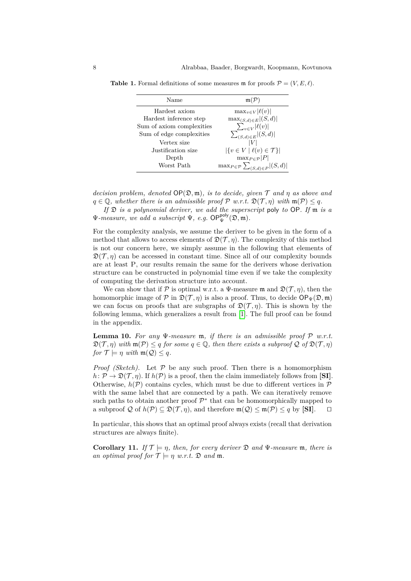<span id="page-7-0"></span>

| Name                      | $m(\mathcal{P})$                                              |
|---------------------------|---------------------------------------------------------------|
| Hardest axiom             | $\max_{v \in V}  \ell(v) $                                    |
| Hardest inference step    | $\max_{(S,d)\in E}  (S,d) $                                   |
| Sum of axiom complexities |                                                               |
| Sum of edge complexities  | $\frac{\sum_{v \in V}  \ell(v) }{\sum_{(S,d) \in E}  (S,d) }$ |
| Vertex size               |                                                               |
| Justification size        | $ \{v \in V \mid \ell(v) \in \mathcal{T}\} $                  |
| Depth                     | $\max_{P \in \mathcal{P}}  P $                                |
| Worst Path                | $\max_{P \in \mathcal{P}} \sum_{(S,d) \in P}  (S,d) $         |

**Table 1.** Formal definitions of some measures m for proofs  $\mathcal{P} = (V, E, \ell)$ .

*decision problem, denoted*  $OP(\mathfrak{D}, \mathfrak{m})$ *, is to decide, given*  $\mathcal T$  *and*  $\eta$  *as above and*  $q \in \mathbb{Q}$ , whether there is an admissible proof  $\mathcal{P}$  w.r.t.  $\mathfrak{D}(\mathcal{T}, \eta)$  with  $\mathfrak{m}(\mathcal{P}) \leq q$ .

*If* D *is a polynomial deriver, we add the superscript* poly *to* OP*. If* m *is a*  $\Psi$ *-measure, we add a subscript*  $\Psi$ *, e.g.*  $OP_{\Psi}^{\text{poly}}(\mathfrak{D}, \mathfrak{m})$ *.* 

For the complexity analysis, we assume the deriver to be given in the form of a method that allows to access elements of  $\mathfrak{D}(\mathcal{T}, \eta)$ . The complexity of this method is not our concern here, we simply assume in the following that elements of  $\mathfrak{D}(\mathcal{T}, \eta)$  can be accessed in constant time. Since all of our complexity bounds are at least P, our results remain the same for the derivers whose derivation structure can be constructed in polynomial time even if we take the complexity of computing the derivation structure into account.

We can show that if P is optimal w.r.t. a  $\Psi$ -measure m and  $\mathfrak{D}(\mathcal{T}, \eta)$ , then the homomorphic image of P in  $\mathfrak{D}(\mathcal{T}, \eta)$  is also a proof. Thus, to decide  $\mathsf{OP}_{\Psi}(\mathfrak{D}, \mathfrak{m})$ we can focus on proofs that are subgraphs of  $\mathfrak{D}(\mathcal{T}, \eta)$ . This is shown by the following lemma, which generalizes a result from [\[1\]](#page-11-0). The full proof can be found in the appendix.

<span id="page-7-1"></span>**Lemma 10.** For any  $\Psi$ -measure m, if there is an admissible proof  $P$  w.r.t.  $\mathfrak{D}(\mathcal{T}, n)$  *with*  $\mathfrak{m}(\mathcal{P}) \leq q$  *for some*  $q \in \mathbb{Q}$ *, then there exists a subproof*  $\mathcal{Q}$  *of*  $\mathfrak{D}(\mathcal{T}, n)$ *for*  $\mathcal{T} \models \eta$  *with*  $\mathfrak{m}(\mathcal{Q}) \leq q$ *.* 

*Proof (Sketch)*. Let  $P$  be any such proof. Then there is a homomorphism  $h: \mathcal{P} \to \mathfrak{D}(\mathcal{T}, n)$ . If  $h(\mathcal{P})$  is a proof, then the claim immediately follows from **[SI]**. Otherwise,  $h(\mathcal{P})$  contains cycles, which must be due to different vertices in  $\mathcal{P}$ with the same label that are connected by a path. We can iteratively remove such paths to obtain another proof  $\mathcal{P}^*$  that can be homomorphically mapped to a subproof Q of  $h(\mathcal{P}) \subseteq \mathfrak{D}(\mathcal{T}, \eta)$ , and therefore  $\mathfrak{m}(\mathcal{Q}) \leq \mathfrak{m}(\mathcal{P}) \leq q$  by [SI].  $\Box$ 

In particular, this shows that an optimal proof always exists (recall that derivation structures are always finite).

<span id="page-7-2"></span>**Corollary 11.** *If*  $\mathcal{T} \models \eta$ *, then, for every deriver*  $\mathfrak{D}$  *and*  $\Psi$ *-measure*  $\mathfrak{m}$ *, there is an optimal proof for*  $\mathcal{T} \models \eta$  *w.r.t.*  $\mathfrak{D}$  *and*  $\mathfrak{m}$ *.*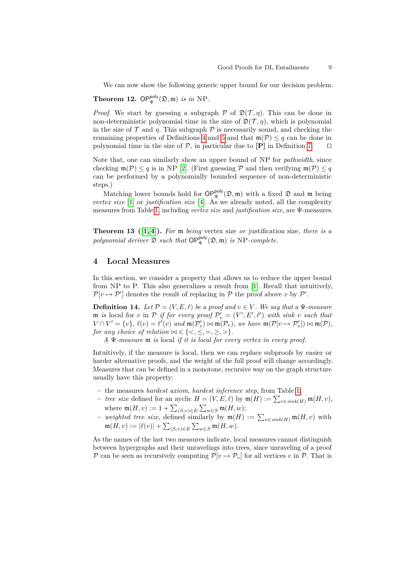We can now show the following generic upper bound for our decision problem.

**Theorem 12.**  $OP_{\Psi}^{poly}(\mathfrak{D}, \mathfrak{m})$  *is in* NP.

*Proof.* We start by guessing a subgraph  $P$  of  $\mathfrak{D}(\mathcal{T}, \eta)$ . This can be done in non-deterministic polynomial time in the size of  $\mathfrak{D}(\mathcal{T}, \eta)$ , which is polynomial in the size of  $\mathcal T$  and  $\eta$ . This subgraph  $\mathcal P$  is necessarily sound, and checking the remaining properties of Definitions [4](#page-4-3) and [5](#page-4-2) and that  $\mathfrak{m}(\mathcal{P}) \leq q$  can be done in polynomial time in the size of  $P$ , in particular due to  $[P]$  in Definition [7.](#page-6-0)  $\Box$ 

Note that, one can similarly show an upper bound of NP for *pathwidth*, since checking  $\mathfrak{m}(\mathcal{P}) \leq q$  is in NP [\[2\]](#page-11-2). (First guessing  $\mathcal P$  and then verifying  $\mathfrak{m}(\mathcal{P}) \leq q$ can be performed by a polynomially bounded sequence of non-deterministic steps.)

Matching lower bounds hold for  $OP_{\Psi}^{\text{poly}}(\mathfrak{D}, \mathfrak{m})$  with a fixed  $\mathfrak{D}$  and  $\mathfrak{m}$  being *vertex size* [\[1\]](#page-11-0) or *justification size* [\[4\]](#page-12-4). As we already noted, all the complexity measures from Table [1,](#page-7-0) including *vertex size* and *justification size*, are Ψ-measures.

**Theorem 13 ([\[1,](#page-11-0) [4\]](#page-12-4)).** *For* m *being* vertex size *or* justification size*, there is a* polynomial deriver  $\mathfrak{D}$  such that  $\mathsf{OP}_{\Psi}^{\mathsf{poly}}(\mathfrak{D}, \mathfrak{m})$  is NP-complete.

# <span id="page-8-0"></span>**4 Local Measures**

In this section, we consider a property that allows us to reduce the upper bound from NP to P. This also generalizes a result from [\[1\]](#page-11-0). Recall that intuitively,  $\mathcal{P}[v \mapsto \mathcal{P}']$  denotes the result of replacing in  $\mathcal P$  the proof above v by  $\mathcal P'.$ 

**Definition 14.** *Let*  $P = (V, E, \ell)$  *be a proof and*  $v \in V$ *. We say that a*  $\Psi$ *-measure*  $\mathfrak{m}$  *is* local for *v* in  $\mathcal{P}$  *if for every proof*  $\mathcal{P}'_v = (V', E', \ell')$  *with sink v such that*  $V \cap V' = \{v\}, \ell(v) = \ell'(v) \text{ and } \mathfrak{m}(\mathcal{P}'_v) \bowtie \mathfrak{m}(\mathcal{P}_v), \text{ we have } \mathfrak{m}(\mathcal{P}[v \mapsto \mathcal{P}'_v]) \bowtie \mathfrak{m}(\mathcal{P}),$ *for any choice of relation*  $\bowtie \in \{ \leq, \leq, =, \geq, \geq \}$ *.* 

*A* Ψ*-measure* m *is* local *if it is local for every vertex in every proof.*

Intuitively, if the measure is local, then we can replace subproofs by easier or harder alternative proofs, and the weight of the full proof will change accordingly. Measures that can be defined in a monotone, recursive way on the graph structure usually have this property:

- **–** the measures *hardest axiom*, *hardest inference step*, from Table [1;](#page-7-0)
- *− tree size* defined for an ayclic  $H = (V, E, \ell)$  by  $\mathfrak{m}(H) := \sum_{v \in sink(H)} \mathfrak{m}(H, v)$ , where  $\mathfrak{m}(H, v) := 1 + \sum_{(S,v) \in E} \sum_{w \in S} \mathfrak{m}(H, w);$
- *− weighted tree size*, defined similarly by  $\mathfrak{m}(H) := \sum_{v \in sink(H)} \mathfrak{m}(H, v)$  with  $\mathfrak{m}(H,v) := |\ell(v)| + \sum_{(S,v) \in E} \sum_{w \in S} \mathfrak{m}(H,w).$

As the names of the last two measures indicate, local measures cannot distinguish between hypergraphs and their unravelings into trees, since unraveling of a proof P can be seen as recursively computing  $\mathcal{P}[v \mapsto \mathcal{P}_v]$  for all vertices v in P. That is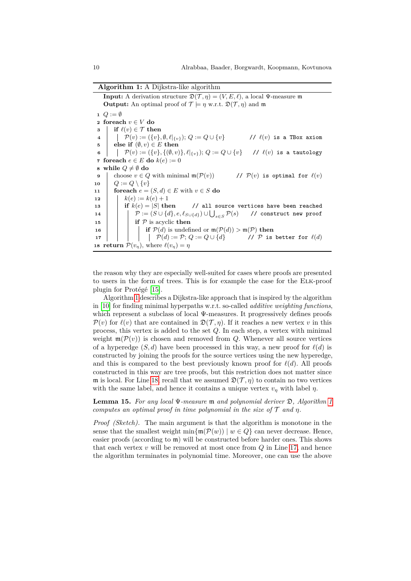**Algorithm 1:** A Dijkstra-like algorithm

<span id="page-9-5"></span><span id="page-9-4"></span><span id="page-9-3"></span>**Input:** A derivation structure  $\mathfrak{D}(\mathcal{T}, \eta) = (V, E, \ell)$ , a local Ψ-measure m **Output:** An optimal proof of  $\mathcal{T} \models \eta$  w.r.t.  $\mathfrak{D}(\mathcal{T}, \eta)$  and m  $Q := \emptyset$  **foreach** *v* ∈ *V* **do if**  $\ell(v) \in \mathcal{T}$  **then**   $\vert$   $\vert$   $\vert$   $\mathcal{P}(v) := (\{v\}, \emptyset, \ell |_{\{v\}});$  *Q* := *Q*∪  $\{v\}$  //  $\ell(v)$  is a TBox axiom **else if**  $(\emptyset, v) \in E$  **then**   $\vert \quad \vert \quad \mathcal{P}(v) := (\{v\}, \{(\emptyset, v)\}, \ell|_{\{v\}}); Q := Q \cup \{v\} \quad \textit{// } \ell(v) \text{ is a tautology}$  **foreach**  $e \in E$  **do**  $k(e) := 0$  **while**  $Q \neq \emptyset$  **do**  choose  $v \in Q$  with minimal  $\mathfrak{m}(\mathcal{P}(v))$  //  $\mathcal{P}(v)$  is optimal for  $\ell(v)$  $10 \mid Q := Q \setminus \{v\}$  **foreach**  $e = (S, d) \in E$  with  $v \in S$  **do** 12 |  $k(e) := k(e) + 1$  **i if**  $k(e) = |S|$  **then** // all source vertices have been reached  $\mathcal{P} := (S \cup \{d\}, e, \ell_{S \cup \{d\}}) \cup \bigcup_{s \in S}$ P(*s*) // construct new proof **if**  $P$  is acyclic **then i if**  $\mathcal{P}(d)$  is undefined or  $\mathfrak{m}(\mathcal{P}(d)) > \mathfrak{m}(\mathcal{P})$  then  $\vert$   $\vert$   $\vert$   $\vert$   $\vert$   $\vert$   $\vert$   $\mathcal{P}(d) := \mathcal{P};$  *Q* := *Q* ∪ {*d*} // *P* is better for <sup>*(d)*</sup> **return**  $\mathcal{P}(v_{\eta})$ , where  $\ell(v_{\eta}) = \eta$ 

<span id="page-9-8"></span><span id="page-9-7"></span><span id="page-9-6"></span><span id="page-9-2"></span><span id="page-9-1"></span><span id="page-9-0"></span>the reason why they are especially well-suited for cases where proofs are presented to users in the form of trees. This is for example the case for the Elk-proof plugin for Protégé [\[15\]](#page-12-0).

Algorithm [1](#page-9-0) describes a Dijkstra-like approach that is inspired by the algorithm in [\[10\]](#page-12-7) for finding minimal hyperpaths w.r.t. so-called *additive weighting functions*, which represent a subclass of local Ψ-measures. It progressively defines proofs  $\mathcal{P}(v)$  for  $\ell(v)$  that are contained in  $\mathfrak{D}(\mathcal{T}, \eta)$ . If it reaches a new vertex *v* in this process, this vertex is added to the set *Q*. In each step, a vertex with minimal weight  $\mathfrak{m}(\mathcal{P}(v))$  is chosen and removed from *Q*. Whenever all source vertices of a hyperedge  $(S, d)$  have been processed in this way, a new proof for  $\ell(d)$  is constructed by joining the proofs for the source vertices using the new hyperedge, and this is compared to the best previously known proof for  $\ell(d)$ . All proofs constructed in this way are tree proofs, but this restriction does not matter since m is local. For Line [18,](#page-9-1) recall that we assumed  $\mathfrak{D}(\mathcal{T}, \eta)$  to contain no two vertices with the same label, and hence it contains a unique vertex  $v_n$  with label  $\eta$ .

**Lemma 15.** *For any local* Ψ*-measure* m *and polynomial deriver* D*, Algorithm [1](#page-9-0) computes an optimal proof in time polynomial in the size of*  $\mathcal T$  *and*  $\eta$ *.* 

*Proof (Sketch).* The main argument is that the algorithm is monotone in the sense that the smallest weight  $\min{\{m(\mathcal{P}(w)) \mid w \in Q\}}$  can never decrease. Hence, easier proofs (according to  $\mathfrak{m}$ ) will be constructed before harder ones. This shows that each vertex *v* will be removed at most once from *Q* in Line [17,](#page-9-2) and hence the algorithm terminates in polynomial time. Moreover, one can use the above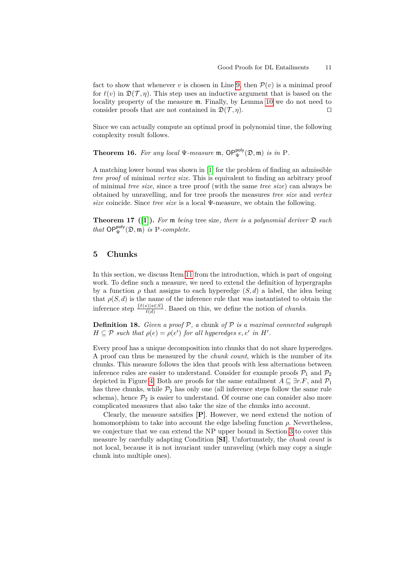fact to show that whenever *v* is chosen in Line [9,](#page-9-3) then  $\mathcal{P}(v)$  is a minimal proof for  $\ell(v)$  in  $\mathfrak{D}(\mathcal{T}, \eta)$ . This step uses an inductive argument that is based on the locality property of the measure m. Finally, by Lemma [10](#page-7-1) we do not need to consider proofs that are not contained in  $\mathfrak{D}(\mathcal{T}, \eta)$ .

Since we can actually compute an optimal proof in polynomial time, the following complexity result follows.

**Theorem 16.** For any local  $\Psi$ -measure  $\mathfrak{m}$ ,  $OP_{\Psi}^{poly}(\mathfrak{D}, \mathfrak{m})$  *is in* P.

A matching lower bound was shown in [\[1\]](#page-11-0) for the problem of finding an admissible *tree proof* of minimal *vertex size*. This is equivalent to finding an arbitrary proof of minimal *tree size*, since a tree proof (with the same *tree size*) can always be obtained by unravelling, and for tree proofs the measures *tree size* and *vertex size* coincide. Since *tree size* is a local Ψ-measure, we obtain the following.

**Theorem 17** ([\[1\]](#page-11-0)). For **m** being tree size, there is a polynomial deriver  $\mathfrak{D}$  such *that*  $OP_{\Psi}^{poly}(\mathfrak{D}, \mathfrak{m})$  *is* P*-complete.* 

# <span id="page-10-0"></span>**5 Chunks**

In this section, we discuss Item [11](#page-2-4) from the introduction, which is part of ongoing work. To define such a measure, we need to extend the definition of hypergraphs by a function  $\rho$  that assigns to each hyperedge  $(S, d)$  a label, the idea being that  $\rho(S, d)$  is the name of the inference rule that was instantiated to obtain the inference step  $\frac{\{\ell(s)|s \in S\}}{\ell(d)}$ . Based on this, we define the notion of *chunks*.

**Definition 18.** *Given a proof* P*, a* chunk *of* P *is a maximal connected subgraph*  $H \subseteq \mathcal{P}$  *such that*  $\rho(e) = \rho(e')$  *for all hyperedges*  $e, e'$  *in*  $H'$ *.* 

Every proof has a unique decomposition into chunks that do not share hyperedges. A proof can thus be measured by the *chunk count*, which is the number of its chunks. This measure follows the idea that proofs with less alternations between inference rules are easier to understand. Consider for example proofs  $P_1$  and  $P_2$ depicted in Figure [4.](#page-11-3) Both are proofs for the same entailment  $A \sqsubseteq \exists r.F$ , and  $\mathcal{P}_1$ has three chunks, while  $\mathcal{P}_2$  has only one (all inference steps follow the same rule schema), hence  $\mathcal{P}_2$  is easier to understand. Of course one can consider also more complicated measures that also take the size of the chunks into account.

Clearly, the measure satsifies **[P]**. However, we need extend the notion of homomorphism to take into account the edge labeling function  $\rho$ . Nevertheless, we conjecture that we can extend the NP upper bound in Section [3](#page-6-1) to cover this measure by carefully adapting Condition **[SI]**. Unfortunately, the *chunk count* is not local, because it is not invariant under unraveling (which may copy a single chunk into multiple ones).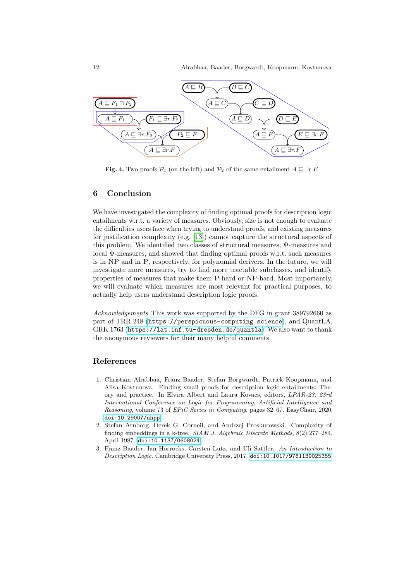

<span id="page-11-3"></span>**Fig. 4.** Two proofs  $\mathcal{P}_1$  (on the left) and  $\mathcal{P}_2$  of the same entailment  $A \sqsubseteq \exists r.F$ .

## **6 Conclusion**

We have investigated the complexity of finding optimal proofs for description logic entailments w.r.t. a variety of measures. Obviously, size is not enough to evaluate the difficulties users face when trying to understand proofs, and existing measures for justification complexity (e.g. [\[13\]](#page-12-3)) cannot capture the structural aspects of this problem. We identified two classes of structural measures, Ψ-measures and local Ψ-measures, and showed that finding optimal proofs w.r.t. such measures is in NP and in P, respectively, for polynomial derivers. In the future, we will investigate more measures, try to find more tractable subclasses, and identify properties of measures that make them P-hard or NP-hard. Most importantly, we will evaluate which measures are most relevant for practical purposes, to actually help users understand description logic proofs.

*Acknowledgements* This work was supported by the DFG in grant 389792660 as part of TRR 248 (<https://perspicuous-computing.science>), and QuantLA, GRK 1763 (<https://lat.inf.tu-dresden.de/quantla>). We also want to thank the anonymous reviewers for their many helpful comments.

## **References**

- <span id="page-11-0"></span>1. Christian Alrabbaa, Franz Baader, Stefan Borgwardt, Patrick Koopmann, and Alisa Kovtunova. Finding small proofs for description logic entailments: Theory and practice. In Elvira Albert and Laura Kovacs, editors, *LPAR-23: 23rd International Conference on Logic for Programming, Artificial Intelligence and Reasoning*, volume 73 of *EPiC Series in Computing*, pages 32–67. EasyChair, 2020. [doi:10.29007/nhpp](http://dx.doi.org/10.29007/nhpp).
- <span id="page-11-2"></span>2. Stefan Arnborg, Derek G. Corneil, and Andrzej Proskurowski. Complexity of finding embeddings in a k-tree. *SIAM J. Algebraic Discrete Methods*, 8(2):277–284, April 1987. [doi:10.1137/0608024](http://dx.doi.org/10.1137/0608024).
- <span id="page-11-1"></span>3. Franz Baader, Ian Horrocks, Carsten Lutz, and Uli Sattler. *An Introduction to Description Logic*. Cambridge University Press, 2017. [doi:10.1017/9781139025355](http://dx.doi.org/10.1017/9781139025355).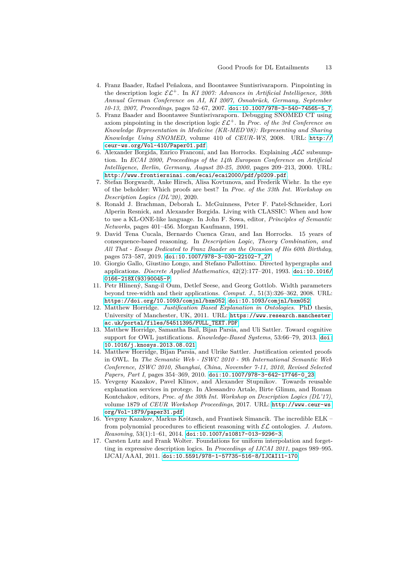- <span id="page-12-4"></span>4. Franz Baader, Rafael Peñaloza, and Boontawee Suntisrivaraporn. Pinpointing in the description logic  $\mathcal{EL}^+$ . In *KI 2007: Advances in Artificial Intelligence, 30th Annual German Conference on AI, KI 2007, Osnabrück, Germany, September 10-13, 2007, Proceedings*, pages 52–67, 2007. [doi:10.1007/978-3-540-74565-5\\_7](http://dx.doi.org/10.1007/978-3-540-74565-5_7).
- 5. Franz Baader and Boontawee Suntisrivaraporn. Debugging SNOMED CT using axiom pinpointing in the description logic  $\mathcal{EL}^+$ . In *Proc. of the 3rd Conference on Knowledge Representation in Medicine (KR-MED'08): Representing and Sharing Knowledge Using SNOMED*, volume 410 of *CEUR-WS*, 2008. URL: [http://](http://ceur-ws.org/Vol-410/Paper01.pdf) [ceur-ws.org/Vol-410/Paper01.pdf](http://ceur-ws.org/Vol-410/Paper01.pdf).
- 6. Alexander Borgida, Enrico Franconi, and Ian Horrocks. Explaining  $ALC$  subsumption. In *ECAI 2000, Proceedings of the 14th European Conference on Artificial Intelligence, Berlin, Germany, August 20-25, 2000*, pages 209–213, 2000. URL: <http://www.frontiersinai.com/ecai/ecai2000/pdf/p0209.pdf>.
- <span id="page-12-2"></span>7. Stefan Borgwardt, Anke Hirsch, Alisa Kovtunova, and Frederik Wiehr. In the eye of the beholder: Which proofs are best? In *Proc. of the 33th Int. Workshop on Description Logics (DL'20)*, 2020.
- 8. Ronald J. Brachman, Deborah L. McGuinness, Peter F. Patel-Schneider, Lori Alperin Resnick, and Alexander Borgida. Living with CLASSIC: When and how to use a KL-ONE-like language. In John F. Sowa, editor, *Principles of Semantic Networks*, pages 401–456. Morgan Kaufmann, 1991.
- <span id="page-12-5"></span>9. David Tena Cucala, Bernardo Cuenca Grau, and Ian Horrocks. 15 years of consequence-based reasoning. In *Description Logic, Theory Combination, and All That - Essays Dedicated to Franz Baader on the Occasion of His 60th Birthday*, pages 573–587, 2019. [doi:10.1007/978-3-030-22102-7\\_27](http://dx.doi.org/10.1007/978-3-030-22102-7_27).
- <span id="page-12-7"></span>10. Giorgio Gallo, Giustino Longo, and Stefano Pallottino. Directed hypergraphs and applications. *Discrete Applied Mathematics*, 42(2):177–201, 1993. [doi:10.1016/](http://dx.doi.org/10.1016/0166-218X(93)90045-P) [0166-218X\(93\)90045-P](http://dx.doi.org/10.1016/0166-218X(93)90045-P).
- 11. Petr Hlinený, Sang-il Oum, Detlef Seese, and Georg Gottlob. Width parameters beyond tree-width and their applications. *Comput. J.*, 51(3):326–362, 2008. URL: <https://doi.org/10.1093/comjnl/bxm052>, [doi:10.1093/comjnl/bxm052](http://dx.doi.org/10.1093/comjnl/bxm052).
- 12. Matthew Horridge. *Justification Based Explanation in Ontologies*. PhD thesis, University of Manchester, UK, 2011. URL: [https://www.research.manchester.](https://www.research.manchester.ac.uk/portal/files/54511395/FULL_TEXT.PDF) [ac.uk/portal/files/54511395/FULL\\_TEXT.PDF](https://www.research.manchester.ac.uk/portal/files/54511395/FULL_TEXT.PDF).
- <span id="page-12-3"></span>13. Matthew Horridge, Samantha Bail, Bijan Parsia, and Uli Sattler. Toward cognitive support for OWL justifications. *Knowledge-Based Systems*, 53:66–79, 2013. [doi:](http://dx.doi.org/10.1016/j.knosys.2013.08.021) [10.1016/j.knosys.2013.08.021](http://dx.doi.org/10.1016/j.knosys.2013.08.021).
- 14. Matthew Horridge, Bijan Parsia, and Ulrike Sattler. Justification oriented proofs in OWL. In *The Semantic Web - ISWC 2010 - 9th International Semantic Web Conference, ISWC 2010, Shanghai, China, November 7-11, 2010, Revised Selected Papers, Part I*, pages 354–369, 2010. [doi:10.1007/978-3-642-17746-0\\_23](http://dx.doi.org/10.1007/978-3-642-17746-0_23).
- <span id="page-12-0"></span>15. Yevgeny Kazakov, Pavel Klinov, and Alexander Stupnikov. Towards reusable explanation services in protege. In Alessandro Artale, Birte Glimm, and Roman Kontchakov, editors, *Proc. of the 30th Int. Workshop on Description Logics (DL'17)*, volume 1879 of *CEUR Workshop Proceedings*, 2017. URL: [http://www.ceur-ws.](http://www.ceur-ws.org/Vol-1879/paper31.pdf) [org/Vol-1879/paper31.pdf](http://www.ceur-ws.org/Vol-1879/paper31.pdf).
- <span id="page-12-1"></span>16. Yevgeny Kazakov, Markus Krötzsch, and Frantisek Simancik. The incredible ELK – from polynomial procedures to efficient reasoning with EL ontologies. *J. Autom. Reasoning*, 53(1):1–61, 2014. [doi:10.1007/s10817-013-9296-3](http://dx.doi.org/10.1007/s10817-013-9296-3).
- <span id="page-12-6"></span>17. Carsten Lutz and Frank Wolter. Foundations for uniform interpolation and forgetting in expressive description logics. In *Proceedings of IJCAI 2011*, pages 989–995. IJCAI/AAAI, 2011. [doi:10.5591/978-1-57735-516-8/IJCAI11-170](http://dx.doi.org/10.5591/978-1-57735-516-8/IJCAI11-170).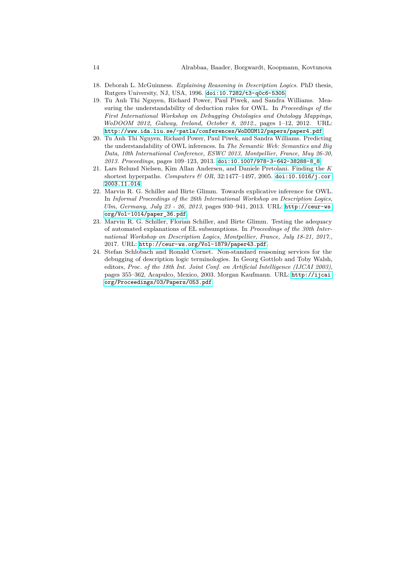- 18. Deborah L. McGuinness. *Explaining Reasoning in Description Logics*. PhD thesis, Rutgers University, NJ, USA, 1996. [doi:10.7282/t3-q0c6-5305](http://dx.doi.org/10.7282/t3-q0c6-5305).
- <span id="page-13-0"></span>19. Tu Anh Thi Nguyen, Richard Power, Paul Piwek, and Sandra Williams. Measuring the understandability of deduction rules for OWL. In *Proceedings of the First International Workshop on Debugging Ontologies and Ontology Mappings, WoDOOM 2012, Galway, Ireland, October 8, 2012.*, pages 1–12, 2012. URL: <http://www.ida.liu.se/~patla/conferences/WoDOOM12/papers/paper4.pdf>.
- <span id="page-13-3"></span>20. Tu Anh Thi Nguyen, Richard Power, Paul Piwek, and Sandra Williams. Predicting the understandability of OWL inferences. In *The Semantic Web: Semantics and Big Data, 10th International Conference, ESWC 2013, Montpellier, France, May 26-30, 2013. Proceedings*, pages 109–123, 2013. [doi:10.1007/978-3-642-38288-8\\_8](http://dx.doi.org/10.1007/978-3-642-38288-8_8).
- <span id="page-13-4"></span>21. Lars Relund Nielsen, Kim Allan Andersen, and Daniele Pretolani. Finding the *K* shortest hyperpaths. *Computers & OR*, 32:1477–1497, 2005. [doi:10.1016/j.cor.](http://dx.doi.org/10.1016/j.cor.2003.11.014) [2003.11.014](http://dx.doi.org/10.1016/j.cor.2003.11.014).
- <span id="page-13-1"></span>22. Marvin R. G. Schiller and Birte Glimm. Towards explicative inference for OWL. In *Informal Proceedings of the 26th International Workshop on Description Logics, Ulm, Germany, July 23 - 26, 2013*, pages 930–941, 2013. URL: [http://ceur-ws.](http://ceur-ws.org/Vol-1014/paper_36.pdf) [org/Vol-1014/paper\\_36.pdf](http://ceur-ws.org/Vol-1014/paper_36.pdf).
- <span id="page-13-2"></span>23. Marvin R. G. Schiller, Florian Schiller, and Birte Glimm. Testing the adequacy of automated explanations of EL subsumptions. In *Proceedings of the 30th International Workshop on Description Logics, Montpellier, France, July 18-21, 2017.*, 2017. URL: <http://ceur-ws.org/Vol-1879/paper43.pdf>.
- 24. Stefan Schlobach and Ronald Cornet. Non-standard reasoning services for the debugging of description logic terminologies. In Georg Gottlob and Toby Walsh, editors, *Proc. of the 18th Int. Joint Conf. on Artificial Intelligence (IJCAI 2003)*, pages 355–362, Acapulco, Mexico, 2003. Morgan Kaufmann. URL: [http://ijcai.](http://ijcai.org/Proceedings/03/Papers/053.pdf) [org/Proceedings/03/Papers/053.pdf](http://ijcai.org/Proceedings/03/Papers/053.pdf).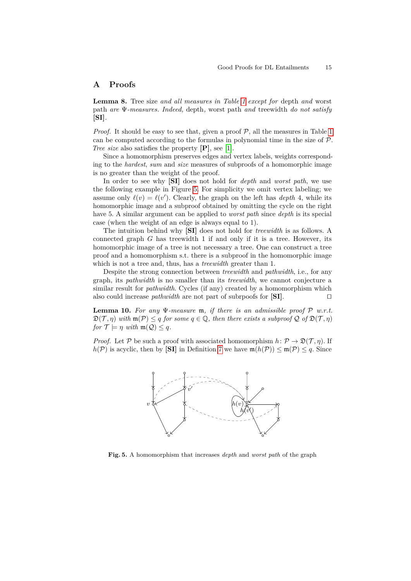## **A Proofs**

**Lemma 8.** Tree size *and all measures in Table [1](#page-7-0) except for* depth *and* worst path *are* Ψ*-measures. Indeed,* depth*,* worst path *and* treewidth *do not satisfy* **[SI]***.*

*Proof.* It should be easy to see that, given a proof  $P$ , all the measures in Table [1](#page-7-0) can be computed according to the formulas in polynomial time in the size of  $\mathcal{P}$ . *Tree size* also satisfies the property **[P]**, see [\[1\]](#page-11-0).

Since a homomorphism preserves edges and vertex labels, weights corresponding to the *hardest*, *sum* and *size* measures of subproofs of a homomorphic image is no greater than the weight of the proof.

In order to see why **[SI]** does not hold for *depth* and *worst path*, we use the following example in Figure [5.](#page-14-0) For simplicity we omit vertex labeling; we assume only  $\ell(v) = \ell(v')$ . Clearly, the graph on the left has *depth* 4, while its homomorphic image and a subproof obtained by omitting the cycle on the right have 5. A similar argument can be applied to *worst path* since *depth* is its special case (when the weight of an edge is always equal to 1).

The intuition behind why **[SI]** does not hold for *treewidth* is as follows. A connected graph *G* has treewidth 1 if and only if it is a tree. However, its homomorphic image of a tree is not necessary a tree. One can construct a tree proof and a homomorphism s.t. there is a subproof in the homomorphic image which is not a tree and, thus, has a *treewidth* greater than 1.

Despite the strong connection between *treewidth* and *pathwidth*, i.e., for any graph, its *pathwidth* is no smaller than its *treewidth*, we cannot conjecture a similar result for *pathwidth*. Cycles (if any) created by a homomorphism which also could increase *pathwidth* are not part of subrpoofs for  $[SI]$ .

**Lemma 10.** For any  $\Psi$ -measure  $\mathfrak{m}$ , if there is an admissible proof  $P$  w.r.t.  $\mathfrak{D}(\mathcal{T}, \eta)$  with  $\mathfrak{m}(\mathcal{P}) \leq q$  for some  $q \in \mathbb{Q}$ , then there exists a subproof  $\mathcal Q$  of  $\mathfrak{D}(\mathcal{T}, \eta)$ *for*  $\mathcal{T} \models \eta$  *with*  $\mathfrak{m}(\mathcal{Q}) \leq q$ *.* 

*Proof.* Let P be such a proof with associated homomorphism  $h: \mathcal{P} \to \mathfrak{D}(\mathcal{T}, \eta)$ . If  $h(\mathcal{P})$  is acyclic, then by **[SI]** in Definition [7](#page-6-0) we have  $m(h(\mathcal{P})) \le m(\mathcal{P}) \le q$ . Since



<span id="page-14-0"></span>**Fig. 5.** A homomorphism that increases *depth* and *worst path* of the graph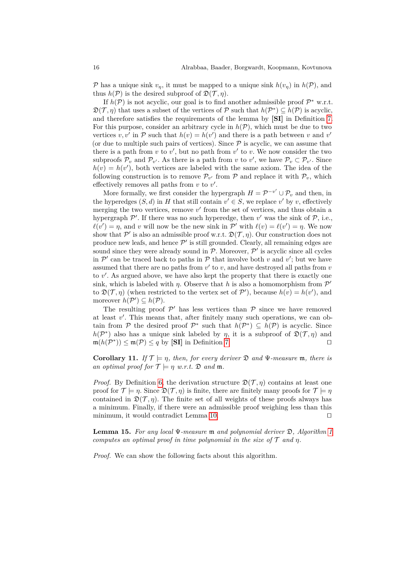P has a unique sink  $v_\eta$ , it must be mapped to a unique sink  $h(v_\eta)$  in  $h(\mathcal{P})$ , and thus  $h(\mathcal{P})$  is the desired subproof of  $\mathfrak{D}(\mathcal{T}, \eta)$ .

If  $h(\mathcal{P})$  is not acyclic, our goal is to find another admissible proof  $\mathcal{P}^*$  w.r.t.  $\mathfrak{D}(\mathcal{T}, \eta)$  that uses a subset of the vertices of P such that  $h(\mathcal{P}^*) \subseteq h(\mathcal{P})$  is acyclic, and therefore satisfies the requirements of the lemma by **[SI]** in Definition [7.](#page-6-0) For this purpose, consider an arbitrary cycle in  $h(\mathcal{P})$ , which must be due to two vertices  $v, v'$  in  $P$  such that  $h(v) = h(v')$  and there is a path between *v* and *v*' (or due to multiple such pairs of vertices). Since  $P$  is acyclic, we can assume that there is a path from  $v$  to  $v'$ , but no path from  $v'$  to  $v$ . We now consider the two subproofs  $\mathcal{P}_v$  and  $\mathcal{P}_{v'}$ . As there is a path from *v* to *v'*, we have  $\mathcal{P}_v \subset \mathcal{P}_{v'}$ . Since  $h(v) = h(v')$ , both vertices are labeled with the same axiom. The idea of the following construction is to remove  $\mathcal{P}_{v'}$  from  $\mathcal{P}$  and replace it with  $\mathcal{P}_v$ , which effectively removes all paths from  $v$  to  $v'$ .

More formally, we first consider the hypergraph  $H = \mathcal{P}^{-v'} \cup \mathcal{P}_v$  and then, in the hyperedges  $(S, d)$  in *H* that still contain  $v' \in S$ , we replace *v*' by *v*, effectively merging the two vertices, remove  $v'$  from the set of vertices, and thus obtain a hypergraph  $\mathcal{P}'$ . If there was no such hyperedge, then  $v'$  was the sink of  $\mathcal{P}$ , i.e.,  $\ell(v') = \eta$ , and *v* will now be the new sink in  $\mathcal{P}'$  with  $\ell(v) = \ell(v') = \eta$ . We now show that  $\mathcal{P}'$  is also an admissible proof w.r.t.  $\mathfrak{D}(\mathcal{T}, \eta)$ . Our construction does not produce new leafs, and hence  $\mathcal{P}'$  is still grounded. Clearly, all remaining edges are sound since they were already sound in  $P$ . Moreover,  $P'$  is acyclic since all cycles in  $\mathcal{P}'$  can be traced back to paths in  $\mathcal P$  that involve both  $v$  and  $v'$ ; but we have assumed that there are no paths from  $v'$  to  $v$ , and have destroyed all paths from  $v$ to v'. As argued above, we have also kept the property that there is exactly one sink, which is labeled with *η*. Observe that *h* is also a homomorphism from  $\mathcal{P}'$ to  $\mathfrak{D}(\mathcal{T}, \eta)$  (when restricted to the vertex set of  $\mathcal{P}'$ ), because  $h(v) = h(v')$ , and moreover  $h(\mathcal{P}') \subseteq h(\mathcal{P})$ .

The resulting proof  $\mathcal{P}'$  has less vertices than  $\mathcal P$  since we have removed at least  $v'$ . This means that, after finitely many such operations, we can obtain from P the desired proof  $\mathcal{P}^*$  such that  $h(\mathcal{P}^*) \subseteq h(\mathcal{P})$  is acyclic. Since  $h(\mathcal{P}^*)$  also has a unique sink labeled by *η*, it is a subproof of  $\mathfrak{D}(\mathcal{T}, \eta)$  and  $m(h(\mathcal{P}^*)) \le m(\mathcal{P}) \le q$  by **[SI]** in Definition [7.](#page-6-0)

**Corollary 11.** *If*  $\mathcal{T} \models \eta$ *, then, for every deriver*  $\mathfrak{D}$  *and*  $\Psi$ *-measure*  $\mathfrak{m}$ *, there is an optimal proof for*  $\mathcal{T} \models \eta \ w.r.t. \ \mathfrak{D} \ and \ \mathfrak{m}.$ 

*Proof.* By Definition [6,](#page-5-0) the derivation structure  $\mathfrak{D}(\mathcal{T}, \eta)$  contains at least one proof for  $\mathcal{T} \models \eta$ . Since  $\mathfrak{D}(\mathcal{T}, \eta)$  is finite, there are finitely many proofs for  $\mathcal{T} \models \eta$ contained in  $\mathfrak{D}(\mathcal{T}, \eta)$ . The finite set of all weights of these proofs always has a minimum. Finally, if there were an admissible proof weighing less than this minimum, it would contradict Lemma [10.](#page-7-1)  $\Box$ 

**Lemma 15.** *For any local* Ψ*-measure* m *and polynomial deriver* D*, Algorithm [1](#page-9-0) computes an optimal proof in time polynomial in the size of*  $\mathcal T$  *and*  $\eta$ *.* 

*Proof.* We can show the following facts about this algorithm.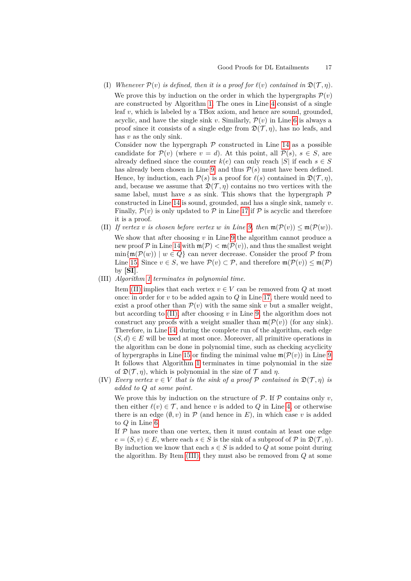<span id="page-16-2"></span>(I) *Whenever*  $\mathcal{P}(v)$  *is defined, then it is a proof for*  $\ell(v)$  *contained in*  $\mathfrak{D}(\mathcal{T}, \eta)$ *.* We prove this by induction on the order in which the hypergraphs  $\mathcal{P}(v)$ are constructed by Algorithm [1.](#page-9-0) The ones in Line [4](#page-9-4) consist of a single leaf *v*, which is labeled by a TBox axiom, and hence are sound, grounded, acyclic, and have the single sink *v*. Similarly,  $\mathcal{P}(v)$  in Line [6](#page-9-5) is always a proof since it consists of a single edge from  $\mathfrak{D}(\mathcal{T}, \eta)$ , has no leafs, and has *v* as the only sink.

Consider now the hypergraph  $P$  constructed in Line [14](#page-9-6) as a possible candidate for  $\mathcal{P}(v)$  (where  $v = d$ ). At this point, all  $\mathcal{P}(s)$ ,  $s \in S$ , are already defined since the counter  $k(e)$  can only reach  $|S|$  if each  $s \in S$ has already been chosen in Line [9,](#page-9-3) and thus  $P(s)$  must have been defined. Hence, by induction, each  $\mathcal{P}(s)$  is a proof for  $\ell(s)$  contained in  $\mathfrak{D}(\mathcal{T}, \eta)$ , and, because we assume that  $\mathfrak{D}(\mathcal{T}, \eta)$  contains no two vertices with the same label, must have  $s$  as sink. This shows that the hypergraph  $P$ constructed in Line [14](#page-9-6) is sound, grounded, and has a single sink, namely *v*. Finally,  $\mathcal{P}(v)$  is only updated to  $\mathcal P$  in Line [17](#page-9-2) if  $\mathcal P$  is acyclic and therefore it is a proof.

- <span id="page-16-0"></span>(II) If vertex *v* is chosen before vertex *w* in Line [9,](#page-9-3) then  $\mathfrak{m}(\mathcal{P}(v)) \leq \mathfrak{m}(\mathcal{P}(w))$ . We show that after choosing *v* in Line [9](#page-9-3) the algorithm cannot produce a new proof  $P$  in Line [14](#page-9-6) with  $\mathfrak{m}(P) < \mathfrak{m}(P(v))$ , and thus the smallest weight  $\min\{\mathfrak{m}(\mathcal{P}(w)) \mid w \in Q\}$  can never decrease. Consider the proof  $\mathcal P$  from Line [15.](#page-9-7) Since  $v \in S$ , we have  $\mathcal{P}(v) \subset \mathcal{P}$ , and therefore  $\mathfrak{m}(\mathcal{P}(v)) \leq \mathfrak{m}(\mathcal{P})$ by **[SI]**.
- <span id="page-16-1"></span>(III) *Algorithm [1](#page-9-0) terminates in polynomial time.*

Item [\(II\)](#page-16-0) implies that each vertex  $v \in V$  can be removed from  $Q$  at most once: in order for *v* to be added again to *Q* in Line [17,](#page-9-2) there would need to exist a proof other than  $\mathcal{P}(v)$  with the same sink *v* but a smaller weight, but according to [\(II\),](#page-16-0) after choosing *v* in Line [9,](#page-9-3) the algorithm does not construct any proofs with a weight smaller than  $\mathfrak{m}(\mathcal{P}(v))$  (for any sink). Therefore, in Line [14,](#page-9-6) during the complete run of the algorithm, each edge  $(S, d) \in E$  will be used at most once. Moreover, all primitive operations in the algorithm can be done in polynomial time, such as checking acyclicity of hypergraphs in Line [15](#page-9-7) or finding the minimal value  $\mathfrak{m}(\mathcal{P}(v))$  in Line [9.](#page-9-3) It follows that Algorithm [1](#page-9-0) terminates in time polynomial in the size of  $\mathfrak{D}(\mathcal{T}, \eta)$ , which is polynomial in the size of  $\mathcal T$  and  $\eta$ .

<span id="page-16-3"></span>(IV) *Every vertex*  $v \in V$  *that is the sink of a proof*  $P$  *contained in*  $\mathfrak{D}(\mathcal{T}, \eta)$  *is added to Q at some point.*

We prove this by induction on the structure of  $\mathcal{P}$ . If  $\mathcal{P}$  contains only *v*, then either  $\ell(v) \in \mathcal{T}$ , and hence *v* is added to *Q* in Line [4,](#page-9-4) or otherwise there is an edge  $(\emptyset, v)$  in  $\mathcal P$  (and hence in E), in which case v is added to *Q* in Line [6.](#page-9-5)

If  $P$  has more than one vertex, then it must contain at least one edge  $e = (S, v) \in E$ , where each  $s \in S$  is the sink of a subproof of  $P$  in  $\mathfrak{D}(\mathcal{T}, \eta)$ . By induction we know that each  $s \in S$  is added to  $Q$  at some point during the algorithm. By Item [\(III\),](#page-16-1) they must also be removed from *Q* at some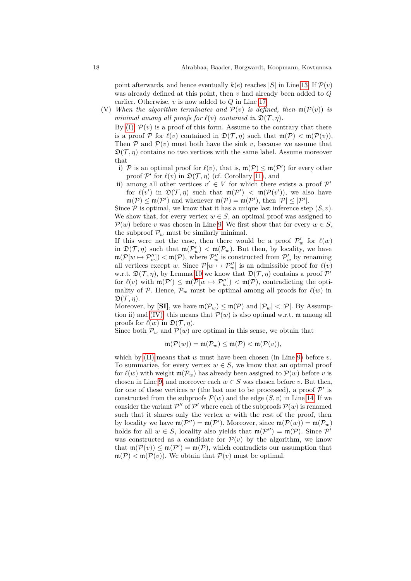point afterwards, and hence eventually  $k(e)$  reaches |*S*| in Line [13.](#page-9-8) If  $\mathcal{P}(v)$ was already defined at this point, then *v* had already been added to *Q* earlier. Otherwise, *v* is now added to *Q* in Line [17.](#page-9-2)

<span id="page-17-0"></span>(V) When the algorithm terminates and  $\mathcal{P}(v)$  is defined, then  $\mathfrak{m}(\mathcal{P}(v))$  is *minimal among all proofs for*  $\ell(v)$  *contained in*  $\mathfrak{D}(\mathcal{T}, \eta)$ *.* 

By  $(I)$ ,  $\mathcal{P}(v)$  is a proof of this form. Assume to the contrary that there is a proof P for  $\ell(v)$  contained in  $\mathfrak{D}(\mathcal{T}, \eta)$  such that  $\mathfrak{m}(\mathcal{P}) < \mathfrak{m}(\mathcal{P}(v))$ . Then  $P$  and  $P(v)$  must both have the sink *v*, because we assume that  $\mathfrak{D}(\mathcal{T}, \eta)$  contains no two vertices with the same label. Assume moreover that

- i) P is an optimal proof for  $\ell(v)$ , that is,  $\mathfrak{m}(\mathcal{P}) \leq \mathfrak{m}(\mathcal{P}')$  for every other proof  $\mathcal{P}'$  for  $\ell(v)$  in  $\mathfrak{D}(\mathcal{T}, \eta)$  (cf. Corollary [11\)](#page-7-2), and
- ii) among all other vertices  $v' \in V$  for which there exists a proof  $\mathcal{P}'$ for  $\ell(v')$  in  $\mathfrak{D}(\mathcal{T}, \eta)$  such that  $\mathfrak{m}(\mathcal{P}') < \mathfrak{m}(\mathcal{P}(v'))$ , we also have  $\mathfrak{m}(\mathcal{P}) \leq \mathfrak{m}(\mathcal{P}')$  and whenever  $\mathfrak{m}(\mathcal{P}) = \mathfrak{m}(\mathcal{P}'),$  then  $|\mathcal{P}| \leq |\mathcal{P}'|.$

Since  $P$  is optimal, we know that it has a unique last inference step  $(S, v)$ . We show that, for every vertex  $w \in S$ , an optimal proof was assigned to  $\mathcal{P}(w)$  before *v* was chosen in Line [9.](#page-9-3) We first show that for every  $w \in S$ , the subproof  $\mathcal{P}_w$  must be similarly minimal.

If this were not the case, then there would be a proof  $\mathcal{P}'_w$  for  $\ell(w)$ in  $\mathfrak{D}(\mathcal{T}, \eta)$  such that  $\mathfrak{m}(\mathcal{P}'_w) < \mathfrak{m}(\mathcal{P}_w)$ . But then, by locality, we have  $\mathfrak{m}(\mathcal{P}[w \mapsto \mathcal{P}''_w]) < \mathfrak{m}(\mathcal{P})$ , where  $\mathcal{P}''_w$  is constructed from  $\mathcal{P}'_w$  by renaming all vertices except *w*. Since  $\mathcal{P}[w \mapsto \mathcal{P}''_w]$  is an admissible proof for  $\ell(v)$ w.r.t.  $\mathfrak{D}(\mathcal{T}, \eta)$ , by Lemma [10](#page-7-1) we know that  $\mathfrak{D}(\mathcal{T}, \eta)$  contains a proof  $\mathcal{P}'$ for  $\ell(v)$  with  $\mathfrak{m}(\mathcal{P}') \leq \mathfrak{m}(\mathcal{P}[w \mapsto \mathcal{P}''_w]) < \mathfrak{m}(\mathcal{P})$ , contradicting the optimality of P. Hence,  $\mathcal{P}_w$  must be optimal among all proofs for  $\ell(w)$  in  $\mathfrak{D}(\mathcal{T}, \eta).$ 

Moreover, by **[SI]**, we have  $\mathfrak{m}(\mathcal{P}_w) \leq \mathfrak{m}(\mathcal{P})$  and  $|\mathcal{P}_w| < |\mathcal{P}|$ . By Assump-tion ii) and [\(IV\),](#page-16-3) this means that  $\mathcal{P}(w)$  is also optimal w.r.t. m among all proofs for  $\ell(w)$  in  $\mathfrak{D}(\mathcal{T}, \eta)$ .

Since both  $\mathcal{P}_w$  and  $\mathcal{P}(w)$  are optimal in this sense, we obtain that

$$
\mathfrak{m}(\mathcal{P}(w)) = \mathfrak{m}(\mathcal{P}_w) \leq \mathfrak{m}(\mathcal{P}) < \mathfrak{m}(\mathcal{P}(v)),
$$

which by  $(II)$  means that  $w$  must have been chosen (in Line [9\)](#page-9-3) before  $v$ . To summarize, for every vertex  $w \in S$ , we know that an optimal proof for  $\ell(w)$  with weight  $\mathfrak{m}(\mathcal{P}_w)$  has already been assigned to  $\mathcal{P}(w)$  before *v* is chosen in Line [9,](#page-9-3) and moreover each  $w \in S$  was chosen before *v*. But then, for one of these vertices  $w$  (the last one to be processed), a proof  $\mathcal{P}'$  is constructed from the subproofs  $\mathcal{P}(w)$  and the edge  $(S, v)$  in Line [14.](#page-9-6) If we consider the variant  $\mathcal{P}''$  of  $\mathcal{P}'$  where each of the subproofs  $\mathcal{P}(w)$  is renamed such that it shares only the vertex *w* with the rest of the proof, then by locality we have  $\mathfrak{m}(\mathcal{P}'') = \mathfrak{m}(\mathcal{P}')$ . Moreover, since  $\mathfrak{m}(\mathcal{P}(w)) = \mathfrak{m}(\mathcal{P}_w)$ holds for all  $w \in S$ , locality also yields that  $\mathfrak{m}(\mathcal{P}'') = \mathfrak{m}(\mathcal{P})$ . Since  $\mathcal{P}'$ was constructed as a candidate for  $\mathcal{P}(v)$  by the algorithm, we know that  $\mathfrak{m}(\mathcal{P}(v)) \leq \mathfrak{m}(\mathcal{P}') = \mathfrak{m}(\mathcal{P})$ , which contradicts our assumption that  $\mathfrak{m}(\mathcal{P}) < \mathfrak{m}(\mathcal{P}(v))$ . We obtain that  $\mathcal{P}(v)$  must be optimal.